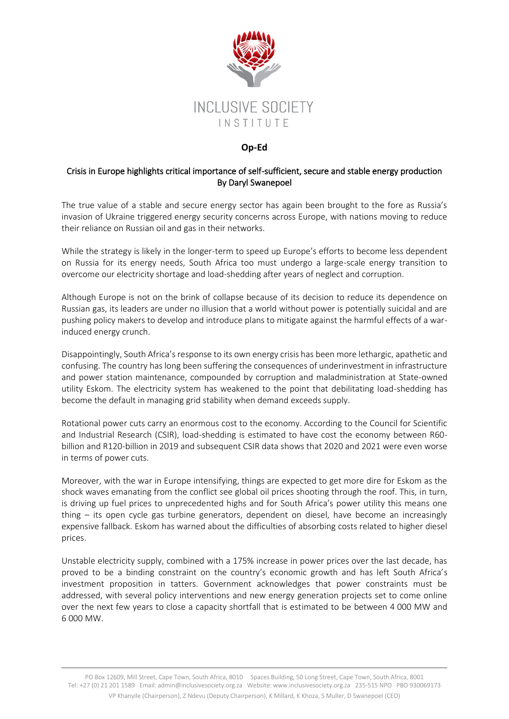

## **Op-Ed**

## Crisis in Europe highlights critical importance of self-sufficient, secure and stable energy production By Daryl Swanepoel

The true value of a stable and secure energy sector has again been brought to the fore as Russia's invasion of Ukraine triggered energy security concerns across Europe, with nations moving to reduce their reliance on Russian oil and gas in their networks.

While the strategy is likely in the longer-term to speed up Europe's efforts to become less dependent on Russia for its energy needs, South Africa too must undergo a large-scale energy transition to overcome our electricity shortage and load-shedding after years of neglect and corruption.

Although Europe is not on the brink of collapse because of its decision to reduce its dependence on Russian gas, its leaders are under no illusion that a world without power is potentially suicidal and are pushing policy makers to develop and introduce plans to mitigate against the harmful effects of a warinduced energy crunch.

Disappointingly, South Africa's response to its own energy crisis has been more lethargic, apathetic and confusing. The country has long been suffering the consequences of underinvestment in infrastructure and power station maintenance, compounded by corruption and maladministration at State-owned utility Eskom. The electricity system has weakened to the point that debilitating load-shedding has become the default in managing grid stability when demand exceeds supply.

Rotational power cuts carry an enormous cost to the economy. According to the Council for Scientific and Industrial Research (CSIR), load-shedding is estimated to have cost the economy between R60 billion and R120-billion in 2019 and subsequent CSIR data shows that 2020 and 2021 were even worse in terms of power cuts.

Moreover, with the war in Europe intensifying, things are expected to get more dire for Eskom as the shock waves emanating from the conflict see global oil prices shooting through the roof. This, in turn, is driving up fuel prices to unprecedented highs and for South Africa's power utility this means one thing – its open cycle gas turbine generators, dependent on diesel, have become an increasingly expensive fallback. Eskom has warned about the difficulties of absorbing costs related to higher diesel prices.

Unstable electricity supply, combined with a 175% increase in power prices over the last decade, has proved to be a binding constraint on the country's economic growth and has left South Africa's investment proposition in tatters. Government acknowledges that power constraints must be addressed, with several policy interventions and new energy generation projects set to come online over the next few years to close a capacity shortfall that is estimated to be between 4 000 MW and 6 000 MW.

PO Box 12609, Mill Street, Cape Town, South Africa, 8010 Spaces Building, 50 Long Street, Cape Town, South Africa, 8001 Tel: +27 (0) 21 201 1589 Email: admi[n@inclusivesociety.org.za](mailto:info@inclusivesociety.org.za) Website: www.inclusivesociety.org.za 235-515 NPO PBO 930069173 VP Khanyile (Chairperson), Z Ndevu (Deputy Chairperson), K Millard, K Khoza, S Muller, D Swanepoel (CEO)